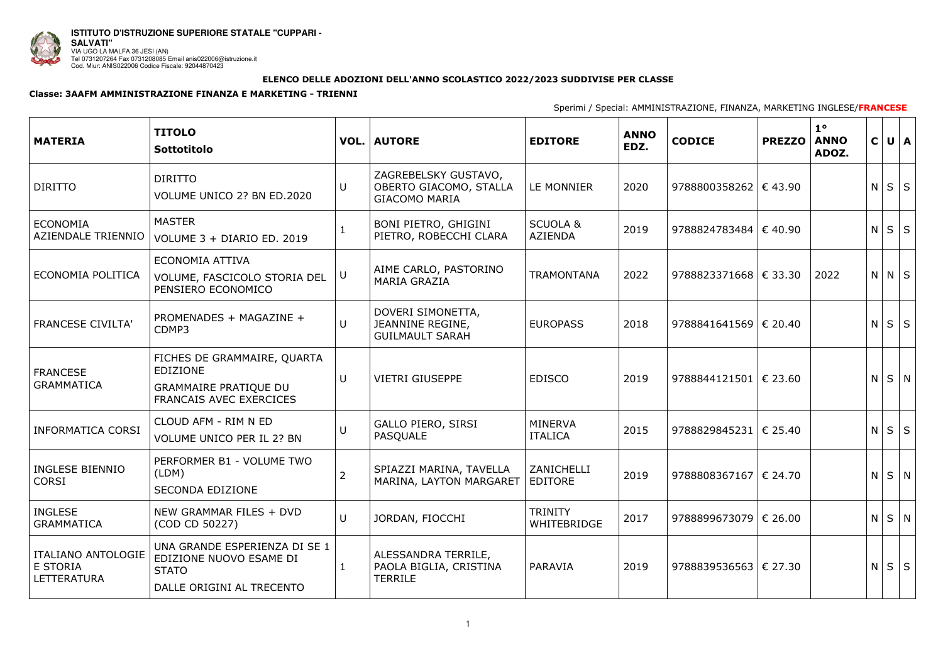

## **ELENCO DELLE ADOZIONI DELL'ANNO SCOLASTICO 2022/2023 SUDDIVISE PER CLASSE**

## **Classe: 3AAFM AMMINISTRAZIONE FINANZA E MARKETING - TRIENNI**

Sperimi / Special: AMMINISTRAZIONE, FINANZA, MARKETING INGLESE/**FRANCESE**

| <b>MATERIA</b>                                              | <b>TITOLO</b><br>Sottotitolo                                                                              |        | <b>VOL.   AUTORE</b>                                                      | <b>EDITORE</b>                        | <b>ANNO</b><br>EDZ. | <b>CODICE</b>               | <b>PREZZO</b> | $1^{\circ}$<br><b>ANNO</b><br>ADOZ. | $\mathsf{C}$ | $U \mid A$  |
|-------------------------------------------------------------|-----------------------------------------------------------------------------------------------------------|--------|---------------------------------------------------------------------------|---------------------------------------|---------------------|-----------------------------|---------------|-------------------------------------|--------------|-------------|
| <b>DIRITTO</b>                                              | <b>DIRITTO</b><br>VOLUME UNICO 2? BN ED.2020                                                              | U      | ZAGREBELSKY GUSTAVO,<br>OBERTO GIACOMO, STALLA<br><b>GIACOMO MARIA</b>    | LE MONNIER                            | 2020                | 9788800358262 $\in$ 43.90   |               |                                     | N            | $S \mid S$  |
| <b>ECONOMIA</b><br>AZIENDALE TRIENNIO                       | <b>MASTER</b><br>VOLUME 3 + DIARIO ED. 2019                                                               |        | BONI PIETRO, GHIGINI<br>PIETRO, ROBECCHI CLARA                            | <b>SCUOLA &amp;</b><br><b>AZIENDA</b> | 2019                | 9788824783484   € 40.90     |               |                                     |              | $N$ $S$ $S$ |
| ECONOMIA POLITICA                                           | ECONOMIA ATTIVA<br>VOLUME, FASCICOLO STORIA DEL<br>PENSIERO ECONOMICO                                     | U      | AIME CARLO, PASTORINO<br><b>MARIA GRAZIA</b>                              | <b>TRAMONTANA</b>                     | 2022                | 9788823371668   € 33.30     |               | 2022                                |              | $N$ $N$ $S$ |
| <b>FRANCESE CIVILTA'</b>                                    | PROMENADES + MAGAZINE +<br>CDMP3                                                                          | $\cup$ | DOVERI SIMONETTA,<br>JEANNINE REGINE,<br><b>GUILMAULT SARAH</b>           | <b>EUROPASS</b>                       | 2018                | 9788841641569 € 20.40       |               |                                     |              | $N$ $S$ $S$ |
| <b>FRANCESE</b><br><b>GRAMMATICA</b>                        | FICHES DE GRAMMAIRE, QUARTA<br>EDIZIONE<br><b>GRAMMAIRE PRATIQUE DU</b><br><b>FRANCAIS AVEC EXERCICES</b> | $\cup$ | <b>VIETRI GIUSEPPE</b>                                                    | <b>EDISCO</b>                         | 2019                | 9788844121501 € 23.60       |               |                                     | N            | $S \mid N$  |
| <b>INFORMATICA CORSI</b>                                    | CLOUD AFM - RIM N ED<br>VOLUME UNICO PER IL 2? BN                                                         | $\cup$ | <b>GALLO PIERO, SIRSI</b><br>PASQUALE                                     | <b>MINERVA</b><br><b>ITALICA</b>      | 2015                | 9788829845231 $\in$ 25.40   |               |                                     | N            | $S \mid S$  |
| INGLESE BIENNIO<br><b>CORSI</b>                             | PERFORMER B1 - VOLUME TWO<br>(LDM)<br><b>SECONDA EDIZIONE</b>                                             | 2      | SPIAZZI MARINA, TAVELLA   ZANICHELLI<br>MARINA, LAYTON MARGARET   EDITORE |                                       | 2019                | 9788808367167   $\in$ 24.70 |               |                                     |              | $N$ $S$ $N$ |
| <b>INGLESE</b><br><b>GRAMMATICA</b>                         | NEW GRAMMAR FILES + DVD<br>(COD CD 50227)                                                                 | $\cup$ | JORDAN, FIOCCHI                                                           | <b>TRINITY</b><br><b>WHITEBRIDGE</b>  | 2017                | 9788899673079   € 26.00     |               |                                     |              | $N$ $S$ $N$ |
| <b>ITALIANO ANTOLOGIE</b><br>E STORIA<br><b>LETTERATURA</b> | UNA GRANDE ESPERIENZA DI SE 1<br>EDIZIONE NUOVO ESAME DI<br><b>STATO</b><br>DALLE ORIGINI AL TRECENTO     |        | ALESSANDRA TERRILE,<br>PAOLA BIGLIA, CRISTINA<br><b>TERRILE</b>           | PARAVIA                               | 2019                | 9788839536563   € 27.30     |               |                                     |              | $N$ $S$ $S$ |